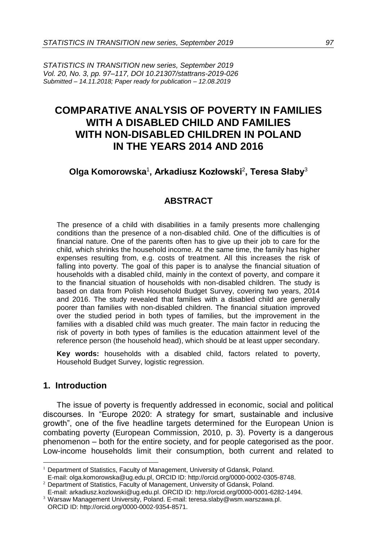*STATISTICS IN TRANSITION new series, September 2019 Vol. 20, No. 3, pp. 97–117, DOI 10.21307/stattrans-2019-026 Submitted – 14.11.2018; Paper ready for publication – 12.08.2019*

# **COMPARATIVE ANALYSIS OF POVERTY IN FAMILIES WITH A DISABLED CHILD AND FAMILIES WITH NON-DISABLED CHILDREN IN POLAND IN THE YEARS 2014 AND 2016**

# **Olga Komorowska**<sup>1</sup> **, Arkadiusz Kozłowski**<sup>2</sup> **, Teresa Słaby**<sup>3</sup>

## **ABSTRACT**

The presence of a child with disabilities in a family presents more challenging conditions than the presence of a non-disabled child. One of the difficulties is of financial nature. One of the parents often has to give up their job to care for the child, which shrinks the household income. At the same time, the family has higher expenses resulting from, e.g. costs of treatment. All this increases the risk of falling into poverty. The goal of this paper is to analyse the financial situation of households with a disabled child, mainly in the context of poverty, and compare it to the financial situation of households with non-disabled children. The study is based on data from Polish Household Budget Survey, covering two years, 2014 and 2016. The study revealed that families with a disabled child are generally poorer than families with non-disabled children. The financial situation improved over the studied period in both types of families, but the improvement in the families with a disabled child was much greater. The main factor in reducing the risk of poverty in both types of families is the education attainment level of the reference person (the household head), which should be at least upper secondary.

**Key words:** households with a disabled child, factors related to poverty, Household Budget Survey, logistic regression.

## **1. Introduction**

 $\overline{a}$ 

The issue of poverty is frequently addressed in economic, social and political discourses. In "Europe 2020: A strategy for smart, sustainable and inclusive growth", one of the five headline targets determined for the European Union is combating poverty (European Commission, 2010, p. 3). Poverty is a dangerous phenomenon – both for the entire society, and for people categorised as the poor. Low-income households limit their consumption, both current and related to

<sup>&</sup>lt;sup>1</sup> Department of Statistics, Faculty of Management, University of Gdansk, Poland.

E-mail[: olga.komorowska@ug.edu.pl,](mailto:olga.komorowska@ug.edu.pl) ORCID ID: http://orcid.org/0000-0002-0305-8748. <sup>2</sup> Department of Statistics, Faculty of Management, University of Gdansk, Poland.

E-mail[: arkadiusz.kozlowski@ug.edu.pl.](mailto:arkadiusz.kozlowski@ug.edu.pl) ORCID ID: http://orcid.org/0000-0001-6282-1494.

<sup>3</sup> Warsaw Management University, Poland. E-mail[: teresa.slaby@wsm.warszawa.pl.](mailto:teresa.slaby@wsm.warszawa.pl) ORCID ID: http://orcid.org/0000-0002-9354-8571.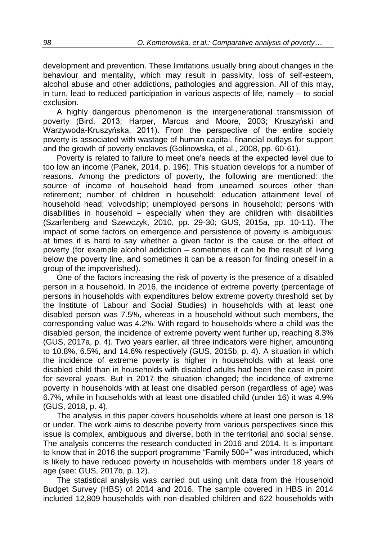development and prevention. These limitations usually bring about changes in the behaviour and mentality, which may result in passivity, loss of self-esteem, alcohol abuse and other addictions, pathologies and aggression. All of this may, in turn, lead to reduced participation in various aspects of life, namely – to social exclusion.

A highly dangerous phenomenon is the intergenerational transmission of poverty (Bird, 2013; Harper, Marcus and Moore, 2003; Kruszyński and Warzywoda-Kruszyńska, 2011). From the perspective of the entire society poverty is associated with wastage of human capital, financial outlays for support and the growth of poverty enclaves (Golinowska, et al., 2008, pp. 60-61).

Poverty is related to failure to meet one's needs at the expected level due to too low an income (Panek, 2014, p. 196). This situation develops for a number of reasons. Among the predictors of poverty, the following are mentioned: the source of income of household head from unearned sources other than retirement; number of children in household; education attainment level of household head; voivodship; unemployed persons in household; persons with disabilities in household – especially when they are children with disabilities (Szarfenberg and Szewczyk, 2010, pp. 29-30; GUS, 2015a, pp. 10-11). The impact of some factors on emergence and persistence of poverty is ambiguous: at times it is hard to say whether a given factor is the cause or the effect of poverty (for example alcohol addiction – sometimes it can be the result of living below the poverty line, and sometimes it can be a reason for finding oneself in a group of the impoverished).

One of the factors increasing the risk of poverty is the presence of a disabled person in a household. In 2016, the incidence of extreme poverty (percentage of persons in households with expenditures below extreme poverty threshold set by the Institute of Labour and Social Studies) in households with at least one disabled person was 7.5%, whereas in a household without such members, the corresponding value was 4.2%. With regard to households where a child was the disabled person, the incidence of extreme poverty went further up, reaching 8.3% (GUS, 2017a, p. 4). Two years earlier, all three indicators were higher, amounting to 10.8%, 6.5%, and 14.6% respectively (GUS, 2015b, p. 4). A situation in which the incidence of extreme poverty is higher in households with at least one disabled child than in households with disabled adults had been the case in point for several years. But in 2017 the situation changed; the incidence of extreme poverty in households with at least one disabled person (regardless of age) was 6.7%, while in households with at least one disabled child (under 16) it was 4.9% (GUS, 2018, p. 4).

The analysis in this paper covers households where at least one person is 18 or under. The work aims to describe poverty from various perspectives since this issue is complex, ambiguous and diverse, both in the territorial and social sense. The analysis concerns the research conducted in 2016 and 2014. It is important to know that in 2016 the support programme "Family 500+" was introduced, which is likely to have reduced poverty in households with members under 18 years of age (see: GUS, 2017b, p. 12).

The statistical analysis was carried out using unit data from the Household Budget Survey (HBS) of 2014 and 2016. The sample covered in HBS in 2014 included 12,809 households with non-disabled children and 622 households with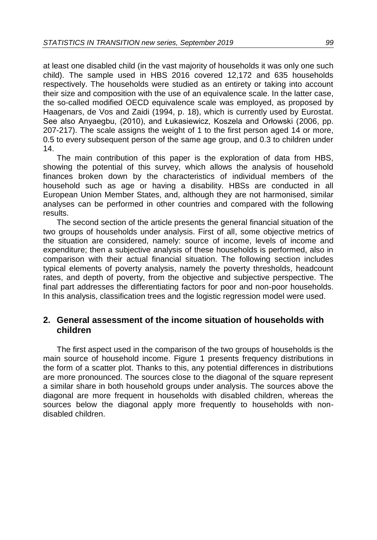at least one disabled child (in the vast majority of households it was only one such child). The sample used in HBS 2016 covered 12,172 and 635 households respectively. The households were studied as an entirety or taking into account their size and composition with the use of an equivalence scale. In the latter case, the so-called modified OECD equivalence scale was employed, as proposed by Haagenars, de Vos and Zaidi (1994, p. 18), which is currently used by Eurostat. See also Anyaegbu, (2010), and Łukasiewicz, Koszela and Orłowski (2006, pp. 207-217). The scale assigns the weight of 1 to the first person aged 14 or more, 0.5 to every subsequent person of the same age group, and 0.3 to children under 14.

The main contribution of this paper is the exploration of data from HBS, showing the potential of this survey, which allows the analysis of household finances broken down by the characteristics of individual members of the household such as age or having a disability. HBSs are conducted in all European Union Member States, and, although they are not harmonised, similar analyses can be performed in other countries and compared with the following results.

The second section of the article presents the general financial situation of the two groups of households under analysis. First of all, some objective metrics of the situation are considered, namely: source of income, levels of income and expenditure; then a subjective analysis of these households is performed, also in comparison with their actual financial situation. The following section includes typical elements of poverty analysis, namely the poverty thresholds, headcount rates, and depth of poverty, from the objective and subjective perspective. The final part addresses the differentiating factors for poor and non-poor households. In this analysis, classification trees and the logistic regression model were used.

## **2. General assessment of the income situation of households with children**

The first aspect used in the comparison of the two groups of households is the main source of household income. Figure 1 presents frequency distributions in the form of a scatter plot. Thanks to this, any potential differences in distributions are more pronounced. The sources close to the diagonal of the square represent a similar share in both household groups under analysis. The sources above the diagonal are more frequent in households with disabled children, whereas the sources below the diagonal apply more frequently to households with nondisabled children.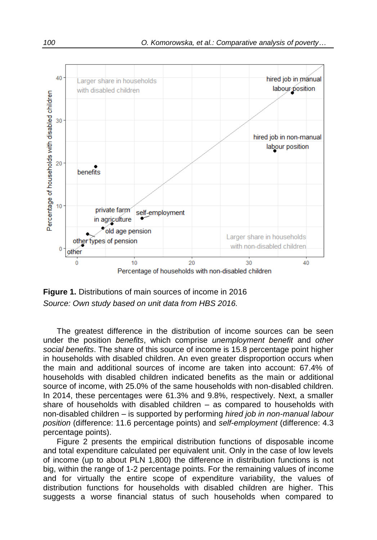

**Figure 1.** Distributions of main sources of income in 2016 *Source: Own study based on unit data from HBS 2016.*

The greatest difference in the distribution of income sources can be seen under the position *benefits*, which comprise *unemployment benefit* and *other social benefits*. The share of this source of income is 15.8 percentage point higher in households with disabled children. An even greater disproportion occurs when the main and additional sources of income are taken into account: 67.4% of households with disabled children indicated benefits as the main or additional source of income, with 25.0% of the same households with non-disabled children. In 2014, these percentages were 61.3% and 9.8%, respectively. Next, a smaller share of households with disabled children – as compared to households with non-disabled children – is supported by performing *hired job in non-manual labour position* (difference: 11.6 percentage points) and *self-employment* (difference: 4.3 percentage points).

Figure 2 presents the empirical distribution functions of disposable income and total expenditure calculated per equivalent unit. Only in the case of low levels of income (up to about PLN 1,800) the difference in distribution functions is not big, within the range of 1-2 percentage points. For the remaining values of income and for virtually the entire scope of expenditure variability, the values of distribution functions for households with disabled children are higher. This suggests a worse financial status of such households when compared to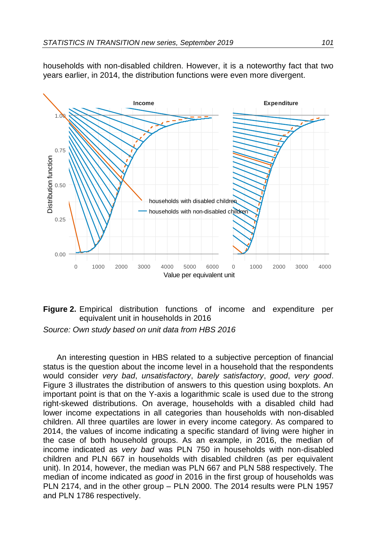households with non-disabled children. However, it is a noteworthy fact that two years earlier, in 2014, the distribution functions were even more divergent.



#### **Figure 2.** Empirical distribution functions of income and expenditure per equivalent unit in households in 2016

*Source: Own study based on unit data from HBS 2016*

An interesting question in HBS related to a subjective perception of financial status is the question about the income level in a household that the respondents would consider *very bad*, *unsatisfactory*, *barely satisfactory*, *good*, *very good*. Figure 3 illustrates the distribution of answers to this question using boxplots. An important point is that on the Y-axis a logarithmic scale is used due to the strong right-skewed distributions. On average, households with a disabled child had lower income expectations in all categories than households with non-disabled children. All three quartiles are lower in every income category. As compared to 2014, the values of income indicating a specific standard of living were higher in the case of both household groups. As an example, in 2016, the median of income indicated as *very bad* was PLN 750 in households with non-disabled children and PLN 667 in households with disabled children (as per equivalent unit). In 2014, however, the median was PLN 667 and PLN 588 respectively. The median of income indicated as *good* in 2016 in the first group of households was PLN 2174, and in the other group – PLN 2000. The 2014 results were PLN 1957 and PLN 1786 respectively.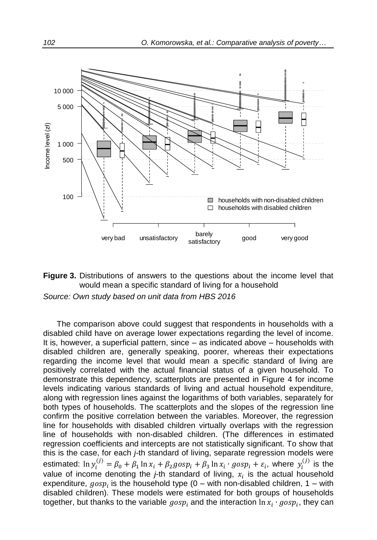



*Source: Own study based on unit data from HBS 2016*

The comparison above could suggest that respondents in households with a disabled child have on average lower expectations regarding the level of income. It is, however, a superficial pattern, since – as indicated above – households with disabled children are, generally speaking, poorer, whereas their expectations regarding the income level that would mean a specific standard of living are positively correlated with the actual financial status of a given household. To demonstrate this dependency, scatterplots are presented in Figure 4 for income levels indicating various standards of living and actual household expenditure, along with regression lines against the logarithms of both variables, separately for both types of households. The scatterplots and the slopes of the regression line confirm the positive correlation between the variables. Moreover, the regression line for households with disabled children virtually overlaps with the regression line of households with non-disabled children. (The differences in estimated regression coefficients and intercepts are not statistically significant. To show that this is the case, for each *j-*th standard of living, separate regression models were estimated:  $\ln y_i^{(j)} = \beta_0 + \beta_1 \ln x_i + \beta_2 g \cos p_i + \beta_3 \ln x_i \cdot g \cos p_i + \varepsilon_i$ , where  $y_i^{(j)}$  is the value of income denoting the *j*-th standard of living,  $x_i$  is the actual household expenditure,  $gosp_i$  is the household type (0 – with non-disabled children, 1 – with disabled children). These models were estimated for both groups of households together, but thanks to the variable  $gosp_i$  and the interaction  $\ln x_i\cdot gosp_i,$  they can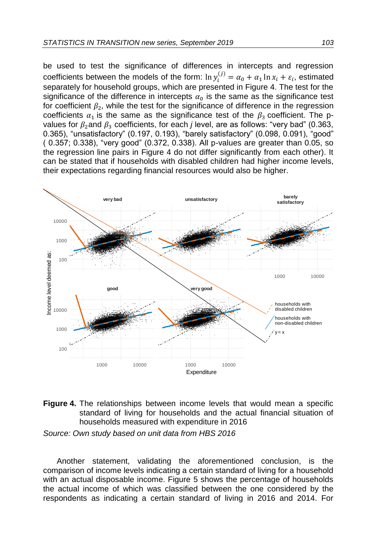be used to test the significance of differences in intercepts and regression coefficients between the models of the form:  $\ln y_i^{(j)} = \alpha_0 + \alpha_1 \ln x_i + \varepsilon_i$ , estimated separately for household groups, which are presented in Figure 4. The test for the significance of the difference in intercepts  $\alpha_0$  is the same as the significance test for coefficient  $\beta_2$ , while the test for the significance of difference in the regression coefficients  $\alpha_1$  is the same as the significance test of the  $\beta_3$  coefficient. The pvalues for  $\beta_2$  and  $\beta_3$  coefficients, for each *j* level, are as follows: "very bad" (0.363, 0.365), "unsatisfactory" (0.197, 0.193), "barely satisfactory" (0.098, 0.091), "good" ( 0.357; 0.338), "very good" (0.372, 0.338). All p-values are greater than 0.05, so the regression line pairs in Figure 4 do not differ significantly from each other). It can be stated that if households with disabled children had higher income levels, their expectations regarding financial resources would also be higher.





*Source: Own study based on unit data from HBS 2016*

Another statement, validating the aforementioned conclusion, is the comparison of income levels indicating a certain standard of living for a household with an actual disposable income. Figure 5 shows the percentage of households the actual income of which was classified between the one considered by the respondents as indicating a certain standard of living in 2016 and 2014. For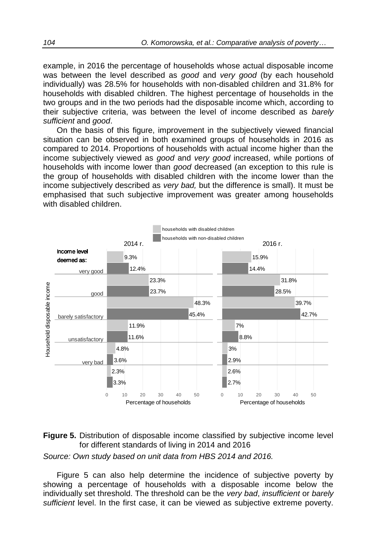example, in 2016 the percentage of households whose actual disposable income was between the level described as *good* and *very good* (by each household individually) was 28.5% for households with non-disabled children and 31.8% for households with disabled children. The highest percentage of households in the two groups and in the two periods had the disposable income which, according to their subjective criteria, was between the level of income described as *barely sufficient* and *good*.

On the basis of this figure, improvement in the subjectively viewed financial situation can be observed in both examined groups of households in 2016 as compared to 2014. Proportions of households with actual income higher than the income subjectively viewed as *good* and *very good* increased, while portions of households with income lower than *good* decreased (an exception to this rule is the group of households with disabled children with the income lower than the income subjectively described as *very bad,* but the difference is small). It must be emphasised that such subjective improvement was greater among households with disabled children.



**Figure 5.** Distribution of disposable income classified by subjective income level for different standards of living in 2014 and 2016

*Source: Own study based on unit data from HBS 2014 and 2016.*

Figure 5 can also help determine the incidence of subjective poverty by showing a percentage of households with a disposable income below the individually set threshold. The threshold can be the *very bad*, *insufficient* or *barely sufficient* level. In the first case, it can be viewed as subjective extreme poverty.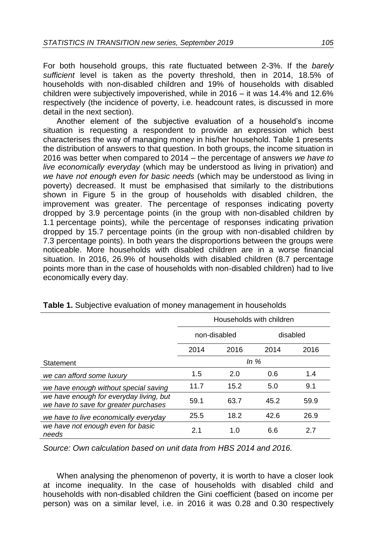For both household groups, this rate fluctuated between 2-3%. If the *barely sufficient* level is taken as the poverty threshold, then in 2014, 18.5% of households with non-disabled children and 19% of households with disabled children were subjectively impoverished, while in 2016 – it was 14.4% and 12.6% respectively (the incidence of poverty, i.e. headcount rates, is discussed in more detail in the next section).

Another element of the subjective evaluation of a household's income situation is requesting a respondent to provide an expression which best characterises the way of managing money in his/her household. Table 1 presents the distribution of answers to that question. In both groups, the income situation in 2016 was better when compared to 2014 – the percentage of answers *we have to live economically everyday* (which may be understood as living in privation) and *we have not enough even for basic needs* (which may be understood as living in poverty) decreased. It must be emphasised that similarly to the distributions shown in Figure 5 in the group of households with disabled children, the improvement was greater. The percentage of responses indicating poverty dropped by 3.9 percentage points (in the group with non-disabled children by 1.1 percentage points), while the percentage of responses indicating privation dropped by 15.7 percentage points (in the group with non-disabled children by 7.3 percentage points). In both years the disproportions between the groups were noticeable. More households with disabled children are in a worse financial situation. In 2016, 26.9% of households with disabled children (8.7 percentage points more than in the case of households with non-disabled children) had to live economically every day.

|                                                                                  | Households with children |      |      |          |
|----------------------------------------------------------------------------------|--------------------------|------|------|----------|
|                                                                                  | non-disabled             |      |      | disabled |
|                                                                                  | 2014                     | 2016 | 2014 | 2016     |
| Statement                                                                        | In $%$                   |      |      |          |
| we can afford some luxury                                                        | 1.5                      | 2.0  | 0.6  | 1.4      |
| we have enough without special saving                                            | 11.7                     | 15.2 | 5.0  | 9.1      |
| we have enough for everyday living, but<br>we have to save for greater purchases | 59.1                     | 63.7 | 45.2 | 59.9     |
| we have to live economically everyday                                            | 25.5                     | 18.2 | 42.6 | 26.9     |
| we have not enough even for basic<br>needs                                       | 2.1                      | 1.0  | 6.6  | 2.7      |

| Table 1. Subjective evaluation of money management in households |  |  |
|------------------------------------------------------------------|--|--|
|------------------------------------------------------------------|--|--|

*Source: Own calculation based on unit data from HBS 2014 and 2016.*

When analysing the phenomenon of poverty, it is worth to have a closer look at income inequality. In the case of households with disabled child and households with non-disabled children the Gini coefficient (based on income per person) was on a similar level, i.e. in 2016 it was 0.28 and 0.30 respectively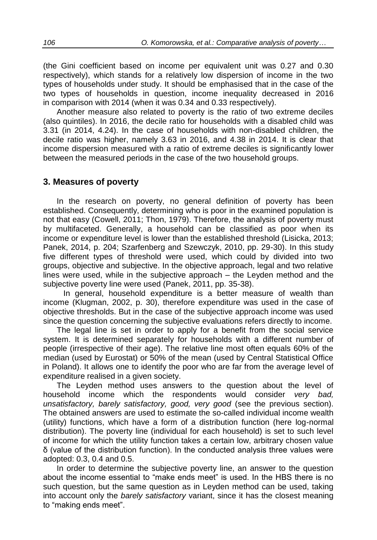(the Gini coefficient based on income per equivalent unit was 0.27 and 0.30 respectively), which stands for a relatively low dispersion of income in the two types of households under study. It should be emphasised that in the case of the two types of households in question, income inequality decreased in 2016 in comparison with 2014 (when it was 0.34 and 0.33 respectively).

Another measure also related to poverty is the ratio of two extreme deciles (also quintiles). In 2016, the decile ratio for households with a disabled child was 3.31 (in 2014, 4.24). In the case of households with non-disabled children, the decile ratio was higher, namely 3.63 in 2016, and 4.38 in 2014. It is clear that income dispersion measured with a ratio of extreme deciles is significantly lower between the measured periods in the case of the two household groups.

## **3. Measures of poverty**

In the research on poverty, no general definition of poverty has been established. Consequently, determining who is poor in the examined population is not that easy (Cowell, 2011; Thon, 1979). Therefore, the analysis of poverty must by multifaceted. Generally, a household can be classified as poor when its income or expenditure level is lower than the established threshold (Lisicka, 2013; Panek, 2014, p. 204; Szarfenberg and Szewczyk, 2010, pp. 29-30). In this study five different types of threshold were used, which could by divided into two groups, objective and subjective. In the objective approach, legal and two relative lines were used, while in the subjective approach – the Leyden method and the subjective poverty line were used (Panek, 2011, pp. 35-38).

 In general, household expenditure is a better measure of wealth than income (Klugman, 2002, p. 30), therefore expenditure was used in the case of objective thresholds. But in the case of the subjective approach income was used since the question concerning the subjective evaluations refers directly to income.

The legal line is set in order to apply for a benefit from the social service system. It is determined separately for households with a different number of people (irrespective of their age). The relative line most often equals 60% of the median (used by Eurostat) or 50% of the mean (used by Central Statistical Office in Poland). It allows one to identify the poor who are far from the average level of expenditure realised in a given society.

The Leyden method uses answers to the question about the level of household income which the respondents would consider *very bad, unsatisfactory, barely satisfactory, good, very good* (see the previous section). The obtained answers are used to estimate the so-called individual income wealth (utility) functions, which have a form of a distribution function (here log-normal distribution). The poverty line (individual for each household) is set to such level of income for which the utility function takes a certain low, arbitrary chosen value δ (value of the distribution function). In the conducted analysis three values were adopted: 0.3, 0.4 and 0.5.

In order to determine the subjective poverty line, an answer to the question about the income essential to "make ends meet" is used. In the HBS there is no such question, but the same question as in Leyden method can be used, taking into account only the *barely satisfactory* variant, since it has the closest meaning to "making ends meet".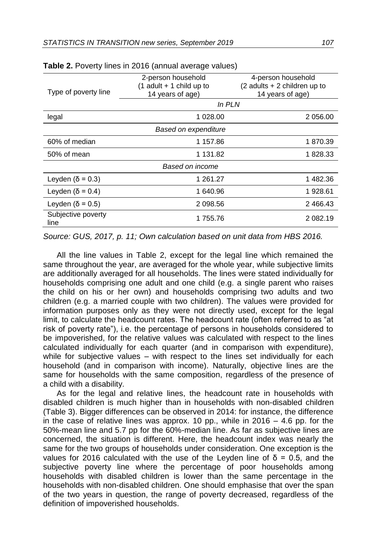|                            | 2-person household         | 4-person household             |  |  |  |
|----------------------------|----------------------------|--------------------------------|--|--|--|
|                            | $(1$ adult + 1 child up to | $(2$ adults + 2 children up to |  |  |  |
| Type of poverty line       | 14 years of age)           | 14 years of age)               |  |  |  |
|                            | In PLN                     |                                |  |  |  |
| legal                      | 1 028.00                   | 2 056.00                       |  |  |  |
| Based on expenditure       |                            |                                |  |  |  |
| 60% of median              | 1 157.86                   | 1870.39                        |  |  |  |
| 50% of mean                | 1 131.82                   | 1828.33                        |  |  |  |
| Based on income            |                            |                                |  |  |  |
| Leyden ( $\delta$ = 0.3)   | 1 261.27                   | 1482.36                        |  |  |  |
| Leyden ( $\delta$ = 0.4)   | 1 640.96                   | 1928.61                        |  |  |  |
| Leyden ( $\delta$ = 0.5)   | 2 466.43<br>2 098.56       |                                |  |  |  |
| Subjective poverty<br>line | 1755.76<br>2 082.19        |                                |  |  |  |

**Table 2.** Poverty lines in 2016 (annual average values)

*Source: GUS, 2017, p. 11; Own calculation based on unit data from HBS 2016.*

All the line values in Table 2, except for the legal line which remained the same throughout the year, are averaged for the whole year, while subjective limits are additionally averaged for all households. The lines were stated individually for households comprising one adult and one child (e.g. a single parent who raises the child on his or her own) and households comprising two adults and two children (e.g. a married couple with two children). The values were provided for information purposes only as they were not directly used, except for the legal limit, to calculate the headcount rates. The headcount rate (often referred to as "at risk of poverty rate"), i.e. the percentage of persons in households considered to be impoverished, for the relative values was calculated with respect to the lines calculated individually for each quarter (and in comparison with expenditure), while for subjective values – with respect to the lines set individually for each household (and in comparison with income). Naturally, objective lines are the same for households with the same composition, regardless of the presence of a child with a disability.

As for the legal and relative lines, the headcount rate in households with disabled children is much higher than in households with non-disabled children (Table 3). Bigger differences can be observed in 2014: for instance, the difference in the case of relative lines was approx. 10 pp., while in 2016 – 4.6 pp. for the 50%-mean line and 5.7 pp for the 60%-median line. As far as subjective lines are concerned, the situation is different. Here, the headcount index was nearly the same for the two groups of households under consideration. One exception is the values for 2016 calculated with the use of the Leyden line of δ = 0.5, and the subjective poverty line where the percentage of poor households among households with disabled children is lower than the same percentage in the households with non-disabled children. One should emphasise that over the span of the two years in question, the range of poverty decreased, regardless of the definition of impoverished households.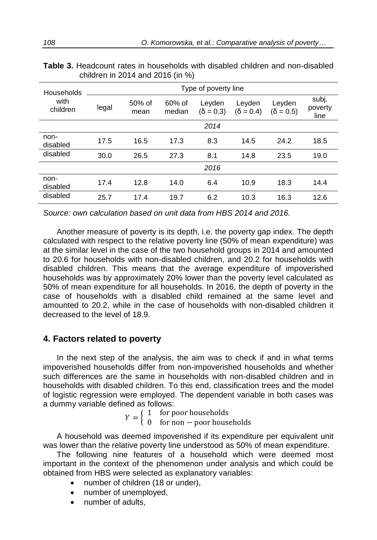| Households       | Type of poverty line |                |                  |                            |                            |                            |                          |
|------------------|----------------------|----------------|------------------|----------------------------|----------------------------|----------------------------|--------------------------|
| with<br>children | legal                | 50% of<br>mean | 60% of<br>median | Leyden<br>$(\delta = 0.3)$ | Leyden<br>$(\delta = 0.4)$ | Leyden<br>$(\delta = 0.5)$ | subj.<br>poverty<br>line |
|                  |                      |                |                  | 2014                       |                            |                            |                          |
| non-<br>disabled | 17.5                 | 16.5           | 17.3             | 8.3                        | 14.5                       | 24.2                       | 18.5                     |
| disabled         | 30.0                 | 26.5           | 27.3             | 8.1                        | 14.8                       | 23.5                       | 19.0                     |
|                  |                      |                |                  | 2016                       |                            |                            |                          |
| non-<br>disabled | 17.4                 | 12.8           | 14.0             | 6.4                        | 10.9                       | 18.3                       | 14.4                     |
| disabled         | 25.7                 | 17.4           | 19.7             | 6.2                        | 10.3                       | 16.3                       | 12.6                     |

**Table 3.** Headcount rates in households with disabled children and non-disabled children in 2014 and 2016 (in %)

*Source: own calculation based on unit data from HBS 2014 and 2016.*

Another measure of poverty is its depth, i.e. the poverty gap index. The depth calculated with respect to the relative poverty line (50% of mean expenditure) was at the similar level in the case of the two household groups in 2014 and amounted to 20.6 for households with non-disabled children, and 20.2 for households with disabled children. This means that the average expenditure of impoverished households was by approximately 20% lower than the poverty level calculated as 50% of mean expenditure for all households. In 2016, the depth of poverty in the case of households with a disabled child remained at the same level and amounted to 20.2, while in the case of households with non-disabled children it decreased to the level of 18.9.

## **4. Factors related to poverty**

In the next step of the analysis, the aim was to check if and in what terms impoverished households differ from non-impoverished households and whether such differences are the same in households with non-disabled children and in households with disabled children. To this end, classification trees and the model of logistic regression were employed. The dependent variable in both cases was a dummy variable defined as follows:

$$
Y = \begin{cases} 1 & \text{for poor households} \\ 0 & \text{if} \end{cases}
$$

 $Y = \begin{cases} 1 & \text{for poor noascinos} \\ 0 & \text{for non-poor households} \end{cases}$ 

A household was deemed impoverished if its expenditure per equivalent unit was lower than the relative poverty line understood as 50% of mean expenditure.

The following nine features of a household which were deemed most important in the context of the phenomenon under analysis and which could be obtained from HBS were selected as explanatory variables:

- number of children (18 or under),
- number of unemployed,
- number of adults,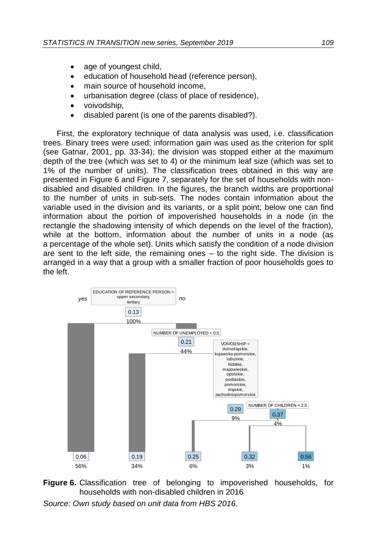- age of youngest child,
- education of household head (reference person),
- main source of household income,
- urbanisation degree (class of place of residence),
- voivodship,
- disabled parent (is one of the parents disabled?).

First, the exploratory technique of data analysis was used, i.e. classification trees. Binary trees were used; information gain was used as the criterion for split (see Gatnar, 2001, pp. 33-34); the division was stopped either at the maximum depth of the tree (which was set to 4) or the minimum leaf size (which was set to 1% of the number of units). The classification trees obtained in this way are presented in Figure 6 and Figure 7, separately for the set of households with nondisabled and disabled children. In the figures, the branch widths are proportional to the number of units in sub-sets. The nodes contain information about the variable used in the division and its variants, or a split point; below one can find information about the portion of impoverished households in a node (in the rectangle the shadowing intensity of which depends on the level of the fraction), while at the bottom, information about the number of units in a node (as a percentage of the whole set). Units which satisfy the condition of a node division are sent to the left side, the remaining ones – to the right side. The division is arranged in a way that a group with a smaller fraction of poor households goes to the left.



**Figure 6.** Classification tree of belonging to impoverished households, for households with non-disabled children in 2016

*Source: Own study based on unit data from HBS 2016.*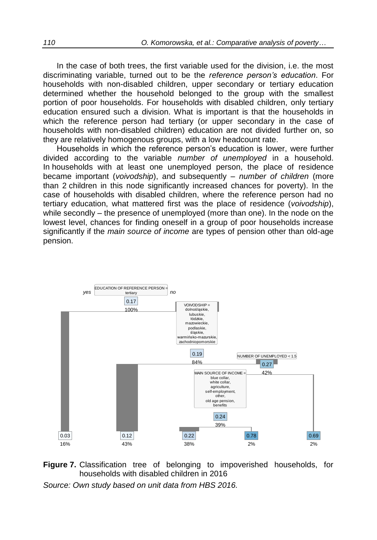In the case of both trees, the first variable used for the division, i.e. the most discriminating variable, turned out to be the *reference person's education*. For households with non-disabled children, upper secondary or tertiary education determined whether the household belonged to the group with the smallest portion of poor households. For households with disabled children, only tertiary education ensured such a division. What is important is that the households in which the reference person had tertiary (or upper secondary in the case of households with non-disabled children) education are not divided further on, so they are relatively homogenous groups, with a low headcount rate.

Households in which the reference person's education is lower, were further divided according to the variable *number of unemployed* in a household. In households with at least one unemployed person, the place of residence became important (*voivodship*), and subsequently – *number of children* (more than 2 children in this node significantly increased chances for poverty). In the case of households with disabled children, where the reference person had no tertiary education, what mattered first was the place of residence (*voivodship*), while secondly – the presence of unemployed (more than one). In the node on the lowest level, chances for finding oneself in a group of poor households increase significantly if the *main source of income* are types of pension other than old-age pension.



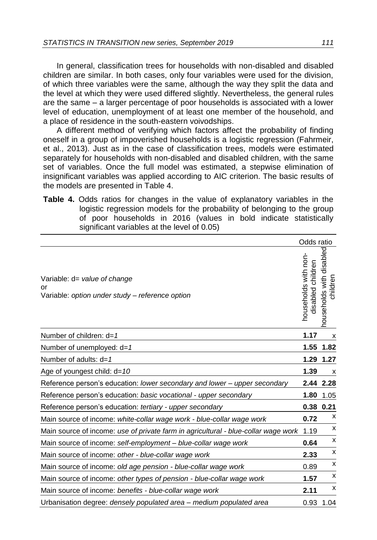In general, classification trees for households with non-disabled and disabled children are similar. In both cases, only four variables were used for the division, of which three variables were the same, although the way they split the data and the level at which they were used differed slightly. Nevertheless, the general rules are the same – a larger percentage of poor households is associated with a lower level of education, unemployment of at least one member of the household, and a place of residence in the south-eastern voivodships.

A different method of verifying which factors affect the probability of finding oneself in a group of impoverished households is a logistic regression (Fahrmeir, et al., 2013). Just as in the case of classification trees, models were estimated separately for households with non-disabled and disabled children, with the same set of variables. Once the full model was estimated, a stepwise elimination of insignificant variables was applied according to AIC criterion. The basic results of the models are presented in Table 4.

**Table 4.** Odds ratios for changes in the value of explanatory variables in the logistic regression models for the probability of belonging to the group of poor households in 2016 (values in bold indicate statistically significant variables at the level of 0.05)

|                                                                                       | Odds ratio                                   |                                      |
|---------------------------------------------------------------------------------------|----------------------------------------------|--------------------------------------|
| Variable: d= value of change<br>or<br>Variable: option under study - reference option | households with non-<br>children<br>disabled | nouseholds with disabled<br>childrer |
| Number of children: $d=1$                                                             | 1.17                                         | х                                    |
| Number of unemployed: d=1                                                             | 1.55                                         | 1.82                                 |
| Number of adults: $d=1$                                                               | 1.29                                         | 1.27                                 |
| Age of youngest child: $d=10$                                                         | 1.39                                         | x                                    |
| Reference person's education: lower secondary and lower - upper secondary             | 2.44                                         | 2.28                                 |
| Reference person's education: basic vocational - upper secondary                      | 1.80                                         | 1.05                                 |
| Reference person's education: tertiary - upper secondary                              |                                              | 0.38 0.21                            |
| Main source of income: white-collar wage work - blue-collar wage work                 | 0.72                                         | х                                    |
| Main source of income: use of private farm in agricultural - blue-collar wage work    | 1.19                                         | х                                    |
| Main source of income: self-employment – blue-collar wage work                        | 0.64                                         | x                                    |
| Main source of income: other - blue-collar wage work                                  | 2.33                                         | x                                    |
| Main source of income: old age pension - blue-collar wage work                        | 0.89                                         | x                                    |
| Main source of income: other types of pension - blue-collar wage work                 | 1.57                                         | x                                    |
| Main source of income: benefits - blue-collar wage work                               | 2.11                                         | x                                    |
| Urbanisation degree: densely populated area - medium populated area                   | 0.93                                         | 1.04                                 |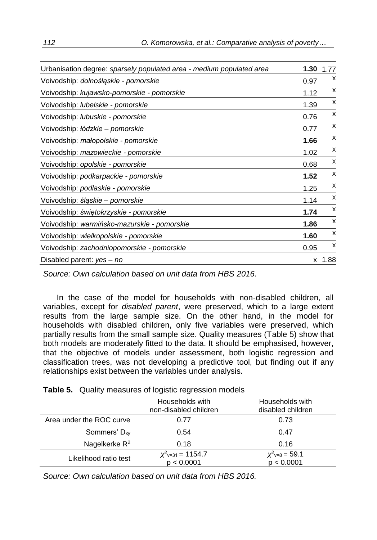| Urbanisation degree: sparsely populated area - medium populated area | 1.30 | 1.77 |
|----------------------------------------------------------------------|------|------|
| Voivodship: dolnośląskie - pomorskie                                 | 0.97 | X    |
| Voivodship: kujawsko-pomorskie - pomorskie                           | 1.12 | x    |
| Voivodship: lubelskie - pomorskie                                    | 1.39 | х    |
| Voivodship: lubuskie - pomorskie                                     | 0.76 | x    |
| Voivodship: łódzkie - pomorskie                                      | 0.77 | x    |
| Voivodship: małopolskie - pomorskie                                  | 1.66 | X    |
| Voivodship: mazowieckie - pomorskie                                  | 1.02 | х    |
| Voivodship: opolskie - pomorskie                                     | 0.68 | x    |
| Voivodship: podkarpackie - pomorskie                                 | 1.52 | X    |
| Voivodship: podlaskie - pomorskie                                    | 1.25 | X    |
| Voivodship: śląskie – pomorskie                                      | 1.14 | x    |
| Voivodship: świętokrzyskie - pomorskie                               | 1.74 | x    |
| Voivodship: warmińsko-mazurskie - pomorskie                          | 1.86 | X    |
| Voivodship: wielkopolskie - pomorskie                                | 1.60 | X    |
| Voivodship: zachodniopomorskie - pomorskie                           | 0.95 | х    |
| Disabled parent: yes - no                                            | x    | 1.88 |

*Source: Own calculation based on unit data from HBS 2016.*

In the case of the model for households with non-disabled children, all variables, except for *disabled parent*, were preserved, which to a large extent results from the large sample size. On the other hand, in the model for households with disabled children, only five variables were preserved, which partially results from the small sample size. Quality measures (Table 5) show that both models are moderately fitted to the data. It should be emphasised, however, that the objective of models under assessment, both logistic regression and classification trees, was not developing a predictive tool, but finding out if any relationships exist between the variables under analysis.

|                          | Households with<br>non-disabled children     | Households with<br>disabled children |
|--------------------------|----------------------------------------------|--------------------------------------|
| Area under the ROC curve | 0.77                                         | 0.73                                 |
| Sommers' $D_{xy}$        | 0.54                                         | 0.47                                 |
| Nagelkerke $R^2$         | 0.18                                         | 0.16                                 |
| Likelihood ratio test    | $X^2$ <sub>v=31</sub> = 1154.7<br>p < 0.0001 | $X^2 = 8 = 59.1$<br>p < 0.0001       |

**Table 5.** Quality measures of logistic regression models

*Source: Own calculation based on unit data from HBS 2016.*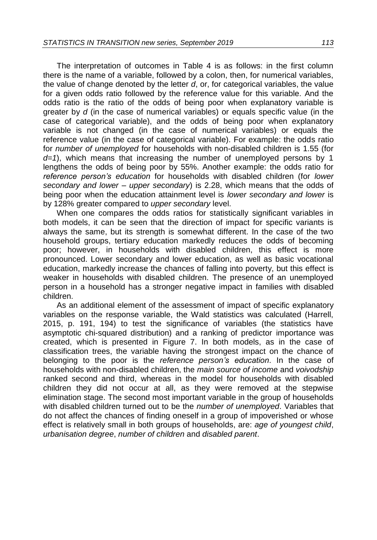The interpretation of outcomes in Table 4 is as follows: in the first column there is the name of a variable, followed by a colon, then, for numerical variables, the value of change denoted by the letter *d*, or, for categorical variables, the value for a given odds ratio followed by the reference value for this variable. And the odds ratio is the ratio of the odds of being poor when explanatory variable is greater by *d* (in the case of numerical variables) or equals specific value (in the case of categorical variable), and the odds of being poor when explanatory variable is not changed (in the case of numerical variables) or equals the reference value (in the case of categorical variable). For example: the odds ratio for *number of unemployed* for households with non-disabled children is 1.55 (for *d=1*), which means that increasing the number of unemployed persons by 1 lengthens the odds of being poor by 55%. Another example: the odds ratio for *reference person's education* for households with disabled children (for *lower secondary and lower – upper secondary*) is 2.28, which means that the odds of being poor when the education attainment level is *lower secondary and lower* is by 128% greater compared to *upper secondary* level.

When one compares the odds ratios for statistically significant variables in both models, it can be seen that the direction of impact for specific variants is always the same, but its strength is somewhat different. In the case of the two household groups, tertiary education markedly reduces the odds of becoming poor; however, in households with disabled children, this effect is more pronounced. Lower secondary and lower education, as well as basic vocational education, markedly increase the chances of falling into poverty, but this effect is weaker in households with disabled children. The presence of an unemployed person in a household has a stronger negative impact in families with disabled children.

As an additional element of the assessment of impact of specific explanatory variables on the response variable, the Wald statistics was calculated (Harrell, 2015, p. 191, 194) to test the significance of variables (the statistics have asymptotic chi-squared distribution) and a ranking of predictor importance was created, which is presented in Figure 7. In both models, as in the case of classification trees, the variable having the strongest impact on the chance of belonging to the poor is the *reference person's education*. In the case of households with non-disabled children, the *main source of income* and *voivodship* ranked second and third, whereas in the model for households with disabled children they did not occur at all, as they were removed at the stepwise elimination stage. The second most important variable in the group of households with disabled children turned out to be the *number of unemployed*. Variables that do not affect the chances of finding oneself in a group of impoverished or whose effect is relatively small in both groups of households, are: *age of youngest child*, *urbanisation degree*, *number of children* and *disabled parent*.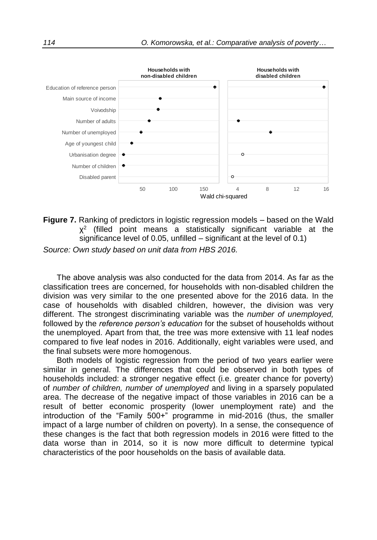

**Figure 7.** Ranking of predictors in logistic regression models – based on the Wald  $X^2$  (filled point means a statistically significant variable at the significance level of 0.05, unfilled – significant at the level of 0.1)

*Source: Own study based on unit data from HBS 2016.*

The above analysis was also conducted for the data from 2014. As far as the classification trees are concerned, for households with non-disabled children the division was very similar to the one presented above for the 2016 data. In the case of households with disabled children, however, the division was very different. The strongest discriminating variable was the *number of unemployed,*  followed by the *reference person's education* for the subset of households without the unemployed. Apart from that, the tree was more extensive with 11 leaf nodes compared to five leaf nodes in 2016. Additionally, eight variables were used, and the final subsets were more homogenous.

Both models of logistic regression from the period of two years earlier were similar in general. The differences that could be observed in both types of households included: a stronger negative effect (i.e. greater chance for poverty) of *number of children, number of unemployed* and living in a sparsely populated area. The decrease of the negative impact of those variables in 2016 can be a result of better economic prosperity (lower unemployment rate) and the introduction of the "Family 500+" programme in mid-2016 (thus, the smaller impact of a large number of children on poverty). In a sense, the consequence of these changes is the fact that both regression models in 2016 were fitted to the data worse than in 2014, so it is now more difficult to determine typical characteristics of the poor households on the basis of available data.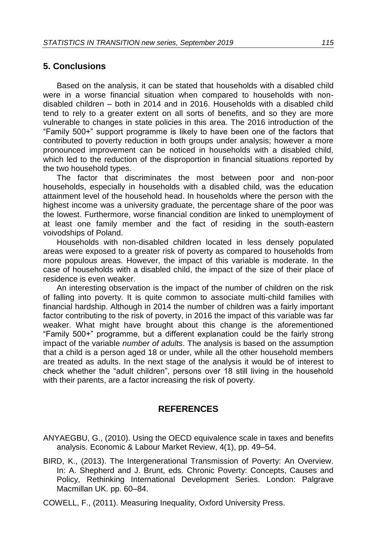## **5. Conclusions**

Based on the analysis, it can be stated that households with a disabled child were in a worse financial situation when compared to households with nondisabled children – both in 2014 and in 2016. Households with a disabled child tend to rely to a greater extent on all sorts of benefits, and so they are more vulnerable to changes in state policies in this area. The 2016 introduction of the "Family 500+" support programme is likely to have been one of the factors that contributed to poverty reduction in both groups under analysis; however a more pronounced improvement can be noticed in households with a disabled child, which led to the reduction of the disproportion in financial situations reported by the two household types.

The factor that discriminates the most between poor and non-poor households, especially in households with a disabled child, was the education attainment level of the household head. In households where the person with the highest income was a university graduate, the percentage share of the poor was the lowest. Furthermore, worse financial condition are linked to unemployment of at least one family member and the fact of residing in the south-eastern voivodships of Poland.

Households with non-disabled children located in less densely populated areas were exposed to a greater risk of poverty as compared to households from more populous areas. However, the impact of this variable is moderate. In the case of households with a disabled child, the impact of the size of their place of residence is even weaker.

An interesting observation is the impact of the number of children on the risk of falling into poverty. It is quite common to associate multi-child families with financial hardship. Although in 2014 the number of children was a fairly important factor contributing to the risk of poverty, in 2016 the impact of this variable was far weaker. What might have brought about this change is the aforementioned "Family 500+" programme, but a different explanation could be the fairly strong impact of the variable *number of adults*. The analysis is based on the assumption that a child is a person aged 18 or under, while all the other household members are treated as adults. In the next stage of the analysis it would be of interest to check whether the "adult children", persons over 18 still living in the household with their parents, are a factor increasing the risk of poverty.

# **REFERENCES**

- ANYAEGBU, G., (2010). Using the OECD equivalence scale in taxes and benefits analysis. Economic & Labour Market Review, 4(1), pp. 49–54.
- BIRD, K., (2013). The Intergenerational Transmission of Poverty: An Overview. In: A. Shepherd and J. Brunt, eds. Chronic Poverty: Concepts, Causes and Policy, Rethinking International Development Series. London: Palgrave Macmillan UK. pp. 60–84.
- COWELL, F., (2011). Measuring Inequality, Oxford University Press.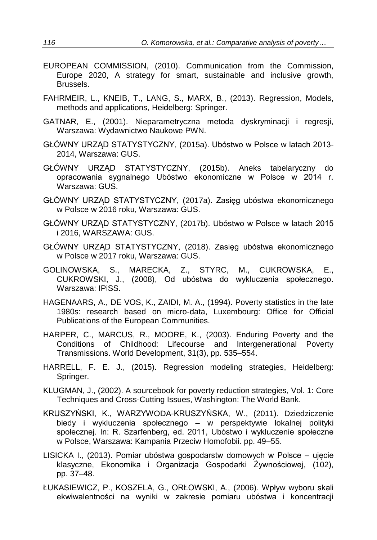- EUROPEAN COMMISSION, (2010). Communication from the Commission, Europe 2020, A strategy for smart, sustainable and inclusive growth, Brussels.
- FAHRMEIR, L., KNEIB, T., LANG, S., MARX, B., (2013). Regression, Models, methods and applications, Heidelberg: Springer.
- GATNAR, E., (2001). Nieparametryczna metoda dyskryminacji i regresji, Warszawa: Wydawnictwo Naukowe PWN.
- GŁÓWNY URZĄD STATYSTYCZNY, (2015a). Ubóstwo w Polsce w latach 2013- 2014, Warszawa: GUS.
- GŁÓWNY URZĄD STATYSTYCZNY, (2015b). Aneks tabelaryczny do opracowania sygnalnego Ubóstwo ekonomiczne w Polsce w 2014 r. Warszawa: GUS.
- GŁÓWNY URZĄD STATYSTYCZNY, (2017a). Zasięg ubóstwa ekonomicznego w Polsce w 2016 roku, Warszawa: GUS.
- GŁÓWNY URZĄD STATYSTYCZNY, (2017b). Ubóstwo w Polsce w latach 2015 i 2016, WARSZAWA: GUS.
- GŁÓWNY URZĄD STATYSTYCZNY, (2018). Zasięg ubóstwa ekonomicznego w Polsce w 2017 roku, Warszawa: GUS.
- GOLINOWSKA, S., MARECKA, Z., STYRC, M., CUKROWSKA, E., CUKROWSKI, J., (2008), Od ubóstwa do wykluczenia społecznego. Warszawa: IPiSS.
- HAGENAARS, A., DE VOS, K., ZAIDI, M. A., (1994). Poverty statistics in the late 1980s: research based on micro-data, Luxembourg: Office for Official Publications of the European Communities.
- HARPER, C., MARCUS, R., MOORE, K., (2003). Enduring Poverty and the Conditions of Childhood: Lifecourse and Intergenerational Poverty Transmissions. World Development, 31(3), pp. 535–554.
- HARRELL, F. E. J., (2015). Regression modeling strategies, Heidelberg: Springer.
- KLUGMAN, J., (2002). A sourcebook for poverty reduction strategies, Vol. 1: Core Techniques and Cross-Cutting Issues, Washington: The World Bank.
- KRUSZYŃSKI, K., WARZYWODA-KRUSZYŃSKA, W., (2011). Dziedziczenie biedy i wykluczenia społecznego – w perspektywie lokalnej polityki społecznej. In: R. Szarfenberg, ed. 2011, Ubóstwo i wykluczenie społeczne w Polsce, Warszawa: Kampania Przeciw Homofobii. pp. 49–55.
- LISICKA I., [\(2013\)](http://yadda.icm.edu.pl/yadda/element/bwmeta1.element.ekon-element-07c4d768-c48e-3dc7-8d19-8eed4a3cf410). Pomiar ubóstwa gospodarstw domowych w Polsce ujęcie klasyczne, [Ekonomika i Organizacja Gospodarki Żywnościowej,](http://yadda.icm.edu.pl/yadda/element/bwmeta1.element.ekon-element-issn-2081-6979) (102), pp. 37–48.
- ŁUKASIEWICZ, P., KOSZELA, G., ORŁOWSKI, A., (2006). Wpływ wyboru skali ekwiwalentności na wyniki w zakresie pomiaru ubóstwa i koncentracji